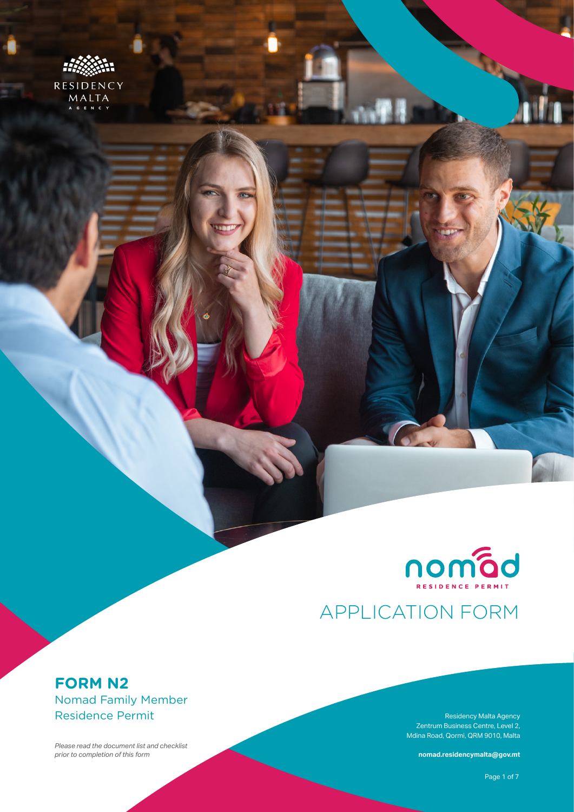



# APPLICATION FORM

# **FORM N2** Nomad Family Member Residence Permit

*Please read the document list and checklist prior to completion of this form*

Residency Malta Agency Zentrum Business Centre, Level 2, Mdina Road, Qormi, QRM 9010, Malta

**nomad.residencymalta@gov.mt**

**Form N2** – Nomad Family Member Residence Permit Page 1 of 7  $\sim$  7  $\sim$  7  $\sim$  7  $\sim$  7  $\sim$  7  $\sim$  7  $\sim$  7  $\sim$  7  $\sim$  7  $\sim$  7  $\sim$  7  $\sim$  7  $\sim$  7  $\sim$  7  $\sim$  7  $\sim$  7  $\sim$  7  $\sim$  7  $\sim$  7  $\sim$  7  $\sim$  7  $\sim$  7  $\sim$  7 Page 1 of 7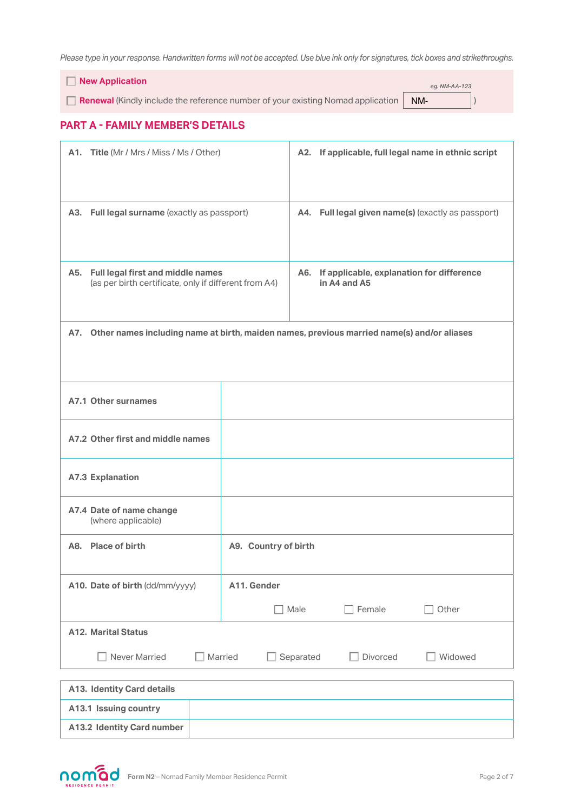*Please type in your response. Handwritten forms will not be accepted. Use blue ink only for signatures, tick boxes and strikethroughs.*

 **New Application**

**Renewal** (Kindly include the reference number of your existing Nomad application **NM-**

*eg. NM-AA-123*

### **PART A - FAMILY MEMBER'S DETAILS**

| A1. Title (Mr / Mrs / Miss / Ms / Other)                                                          |                                              |                                                                  |          | A2. If applicable, full legal name in ethnic script |
|---------------------------------------------------------------------------------------------------|----------------------------------------------|------------------------------------------------------------------|----------|-----------------------------------------------------|
|                                                                                                   | A3. Full legal surname (exactly as passport) |                                                                  |          | A4. Full legal given name(s) (exactly as passport)  |
| A5. Full legal first and middle names<br>(as per birth certificate, only if different from A4)    |                                              | If applicable, explanation for difference<br>A6.<br>in A4 and A5 |          |                                                     |
| Other names including name at birth, maiden names, previous married name(s) and/or aliases<br>A7. |                                              |                                                                  |          |                                                     |
| A7.1 Other surnames                                                                               |                                              |                                                                  |          |                                                     |
| A7.2 Other first and middle names                                                                 |                                              |                                                                  |          |                                                     |
| <b>A7.3 Explanation</b>                                                                           |                                              |                                                                  |          |                                                     |
| A7.4 Date of name change<br>(where applicable)                                                    |                                              |                                                                  |          |                                                     |
| A8. Place of birth                                                                                | A9. Country of birth                         |                                                                  |          |                                                     |
| A10. Date of birth (dd/mm/yyyy)                                                                   | A11. Gender                                  |                                                                  |          |                                                     |
|                                                                                                   |                                              | Male                                                             | Female   | Other                                               |
| <b>A12. Marital Status</b>                                                                        |                                              |                                                                  |          |                                                     |
| $\Box$ Married<br>Never Married                                                                   |                                              | Separated                                                        | Divorced | Widowed                                             |
| <b>A13. Identity Card details</b>                                                                 |                                              |                                                                  |          |                                                     |
| A13.1 Issuing country                                                                             |                                              |                                                                  |          |                                                     |
| <b>A13.2 Identity Card number</b>                                                                 |                                              |                                                                  |          |                                                     |

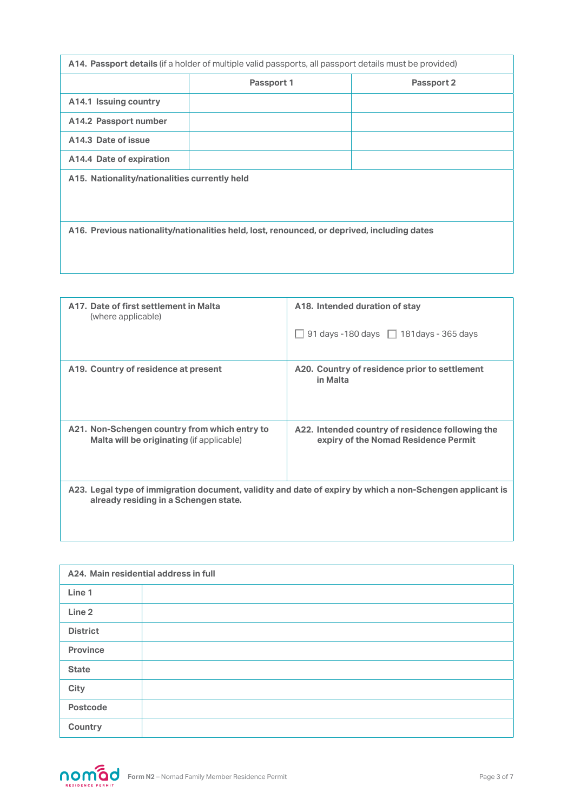| A14. Passport details (if a holder of multiple valid passports, all passport details must be provided) |            |            |  |  |  |
|--------------------------------------------------------------------------------------------------------|------------|------------|--|--|--|
|                                                                                                        | Passport 1 | Passport 2 |  |  |  |
| A14.1 Issuing country                                                                                  |            |            |  |  |  |
| A14.2 Passport number                                                                                  |            |            |  |  |  |
| A14.3 Date of issue                                                                                    |            |            |  |  |  |
| A14.4 Date of expiration                                                                               |            |            |  |  |  |
| A15. Nationality/nationalities currently held                                                          |            |            |  |  |  |
| A16. Previous nationality/nationalities held, lost, renounced, or deprived, including dates            |            |            |  |  |  |

| A17. Date of first settlement in Malta           | A18. Intended duration of stay                                                                            |
|--------------------------------------------------|-----------------------------------------------------------------------------------------------------------|
| (where applicable)                               | 91 days -180 days $\Box$ 181 days - 365 days                                                              |
| A19. Country of residence at present             | A20. Country of residence prior to settlement<br>in Malta                                                 |
| A21. Non-Schengen country from which entry to    | A22. Intended country of residence following the                                                          |
| <b>Malta will be originating (if applicable)</b> | expiry of the Nomad Residence Permit                                                                      |
| already residing in a Schengen state.            | A23. Legal type of immigration document, validity and date of expiry by which a non-Schengen applicant is |

| A24. Main residential address in full |  |  |  |
|---------------------------------------|--|--|--|
| Line 1                                |  |  |  |
| Line <sub>2</sub>                     |  |  |  |
| <b>District</b>                       |  |  |  |
| <b>Province</b>                       |  |  |  |
| <b>State</b>                          |  |  |  |
| City                                  |  |  |  |
| <b>Postcode</b>                       |  |  |  |
| Country                               |  |  |  |

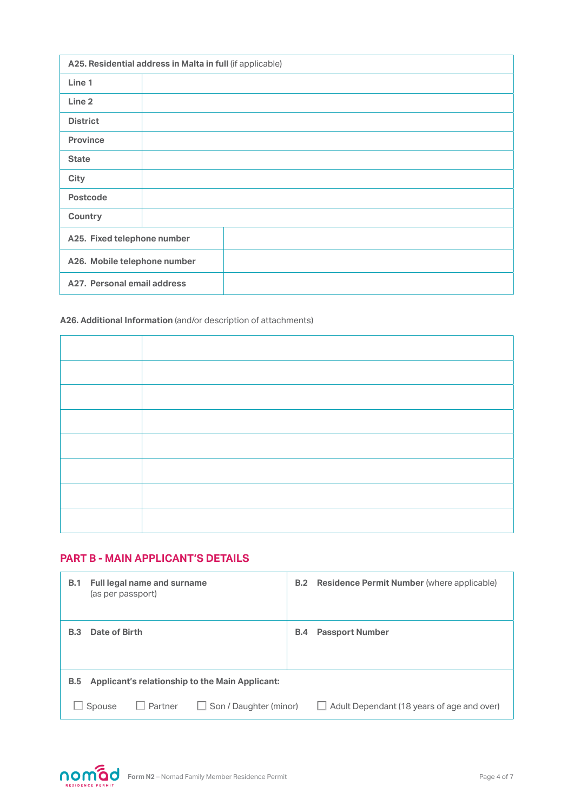| A25. Residential address in Malta in full (if applicable) |                             |  |  |  |
|-----------------------------------------------------------|-----------------------------|--|--|--|
| Line 1                                                    |                             |  |  |  |
| Line 2                                                    |                             |  |  |  |
| <b>District</b>                                           |                             |  |  |  |
| <b>Province</b>                                           |                             |  |  |  |
| <b>State</b>                                              |                             |  |  |  |
| <b>City</b>                                               |                             |  |  |  |
| <b>Postcode</b>                                           |                             |  |  |  |
| Country                                                   |                             |  |  |  |
| A25. Fixed telephone number                               |                             |  |  |  |
| A26. Mobile telephone number                              |                             |  |  |  |
|                                                           | A27. Personal email address |  |  |  |

#### **A26. Additional Information** (and/or description of attachments)

## **PART B - MAIN APPLICANT'S DETAILS**

| <b>B.1</b> | <b>Full legal name and surname</b><br>(as per passport)   | B.2        | <b>Residence Permit Number</b> (where applicable) |
|------------|-----------------------------------------------------------|------------|---------------------------------------------------|
| <b>B.3</b> | Date of Birth                                             | <b>B.4</b> | <b>Passport Number</b>                            |
| <b>B.5</b> | Applicant's relationship to the Main Applicant:           |            |                                                   |
|            | $\Box$ Partner<br>$\Box$ Son / Daughter (minor)<br>Spouse |            | $\Box$ Adult Dependant (18 years of age and over) |

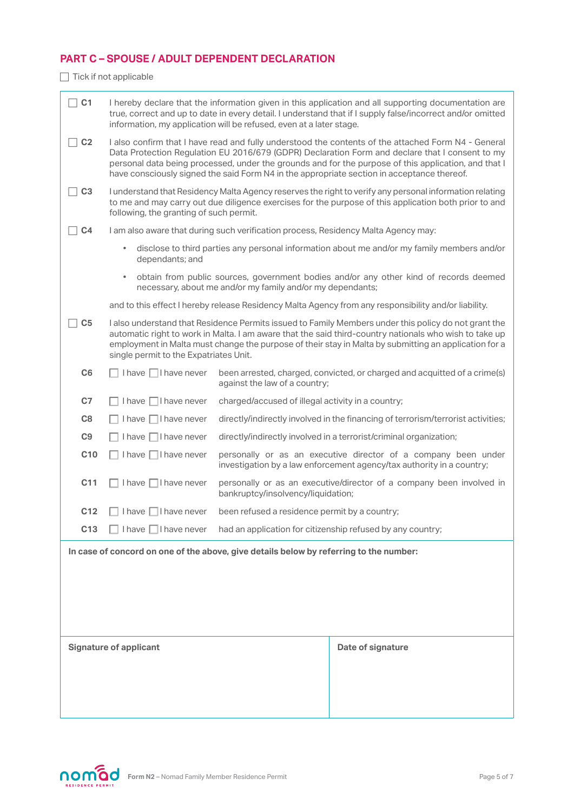## **PART C – SPOUSE / ADULT DEPENDENT DECLARATION**

 $\Box$  Tick if not applicable

| C <sub>1</sub>                                                                         |                                                    | I hereby declare that the information given in this application and all supporting documentation are<br>true, correct and up to date in every detail. I understand that if I supply false/incorrect and/or omitted<br>information, my application will be refused, even at a later stage.                                                                                                                    |                                                                                                                                                                                                                                                                                                                         |  |
|----------------------------------------------------------------------------------------|----------------------------------------------------|--------------------------------------------------------------------------------------------------------------------------------------------------------------------------------------------------------------------------------------------------------------------------------------------------------------------------------------------------------------------------------------------------------------|-------------------------------------------------------------------------------------------------------------------------------------------------------------------------------------------------------------------------------------------------------------------------------------------------------------------------|--|
| C <sub>2</sub>                                                                         |                                                    | I also confirm that I have read and fully understood the contents of the attached Form N4 - General<br>Data Protection Regulation EU 2016/679 (GDPR) Declaration Form and declare that I consent to my<br>personal data being processed, under the grounds and for the purpose of this application, and that I<br>have consciously signed the said Form N4 in the appropriate section in acceptance thereof. |                                                                                                                                                                                                                                                                                                                         |  |
| C <sub>3</sub>                                                                         | following, the granting of such permit.            |                                                                                                                                                                                                                                                                                                                                                                                                              | I understand that Residency Malta Agency reserves the right to verify any personal information relating<br>to me and may carry out due diligence exercises for the purpose of this application both prior to and                                                                                                        |  |
| C <sub>4</sub>                                                                         |                                                    | I am also aware that during such verification process, Residency Malta Agency may:                                                                                                                                                                                                                                                                                                                           |                                                                                                                                                                                                                                                                                                                         |  |
|                                                                                        | $\bullet$<br>dependants; and                       |                                                                                                                                                                                                                                                                                                                                                                                                              | disclose to third parties any personal information about me and/or my family members and/or                                                                                                                                                                                                                             |  |
|                                                                                        | $\bullet$                                          | necessary, about me and/or my family and/or my dependants;                                                                                                                                                                                                                                                                                                                                                   | obtain from public sources, government bodies and/or any other kind of records deemed                                                                                                                                                                                                                                   |  |
|                                                                                        |                                                    |                                                                                                                                                                                                                                                                                                                                                                                                              | and to this effect I hereby release Residency Malta Agency from any responsibility and/or liability.                                                                                                                                                                                                                    |  |
| C <sub>5</sub>                                                                         | single permit to the Expatriates Unit.             |                                                                                                                                                                                                                                                                                                                                                                                                              | I also understand that Residence Permits issued to Family Members under this policy do not grant the<br>automatic right to work in Malta. I am aware that the said third-country nationals who wish to take up<br>employment in Malta must change the purpose of their stay in Malta by submitting an application for a |  |
| C <sub>6</sub>                                                                         | I have $\Box$ I have never                         | been arrested, charged, convicted, or charged and acquitted of a crime(s)<br>against the law of a country;                                                                                                                                                                                                                                                                                                   |                                                                                                                                                                                                                                                                                                                         |  |
| C <sub>7</sub>                                                                         | $I$ have $\Box I$ have never                       | charged/accused of illegal activity in a country;                                                                                                                                                                                                                                                                                                                                                            |                                                                                                                                                                                                                                                                                                                         |  |
| C8                                                                                     | $I$ have $\Box I$ have never                       | directly/indirectly involved in the financing of terrorism/terrorist activities;                                                                                                                                                                                                                                                                                                                             |                                                                                                                                                                                                                                                                                                                         |  |
| C9                                                                                     | I have $\Box$ I have never                         | directly/indirectly involved in a terrorist/criminal organization;                                                                                                                                                                                                                                                                                                                                           |                                                                                                                                                                                                                                                                                                                         |  |
| C <sub>10</sub>                                                                        | I have $\Box$ I have never                         | personally or as an executive director of a company been under<br>investigation by a law enforcement agency/tax authority in a country;                                                                                                                                                                                                                                                                      |                                                                                                                                                                                                                                                                                                                         |  |
| C <sub>11</sub>                                                                        | I have $\Box$ I have never                         | bankruptcy/insolvency/liquidation;                                                                                                                                                                                                                                                                                                                                                                           | personally or as an executive/director of a company been involved in                                                                                                                                                                                                                                                    |  |
| C <sub>12</sub>                                                                        | I have □ I have never                              | been refused a residence permit by a country;                                                                                                                                                                                                                                                                                                                                                                |                                                                                                                                                                                                                                                                                                                         |  |
| C <sub>13</sub>                                                                        | I have $\Box$ I have never                         |                                                                                                                                                                                                                                                                                                                                                                                                              | had an application for citizenship refused by any country;                                                                                                                                                                                                                                                              |  |
| In case of concord on one of the above, give details below by referring to the number: |                                                    |                                                                                                                                                                                                                                                                                                                                                                                                              |                                                                                                                                                                                                                                                                                                                         |  |
|                                                                                        |                                                    |                                                                                                                                                                                                                                                                                                                                                                                                              |                                                                                                                                                                                                                                                                                                                         |  |
|                                                                                        |                                                    |                                                                                                                                                                                                                                                                                                                                                                                                              |                                                                                                                                                                                                                                                                                                                         |  |
|                                                                                        |                                                    |                                                                                                                                                                                                                                                                                                                                                                                                              |                                                                                                                                                                                                                                                                                                                         |  |
|                                                                                        |                                                    |                                                                                                                                                                                                                                                                                                                                                                                                              |                                                                                                                                                                                                                                                                                                                         |  |
|                                                                                        | <b>Signature of applicant</b><br>Date of signature |                                                                                                                                                                                                                                                                                                                                                                                                              |                                                                                                                                                                                                                                                                                                                         |  |
|                                                                                        |                                                    |                                                                                                                                                                                                                                                                                                                                                                                                              |                                                                                                                                                                                                                                                                                                                         |  |
|                                                                                        |                                                    |                                                                                                                                                                                                                                                                                                                                                                                                              |                                                                                                                                                                                                                                                                                                                         |  |
|                                                                                        |                                                    |                                                                                                                                                                                                                                                                                                                                                                                                              |                                                                                                                                                                                                                                                                                                                         |  |
|                                                                                        |                                                    |                                                                                                                                                                                                                                                                                                                                                                                                              |                                                                                                                                                                                                                                                                                                                         |  |

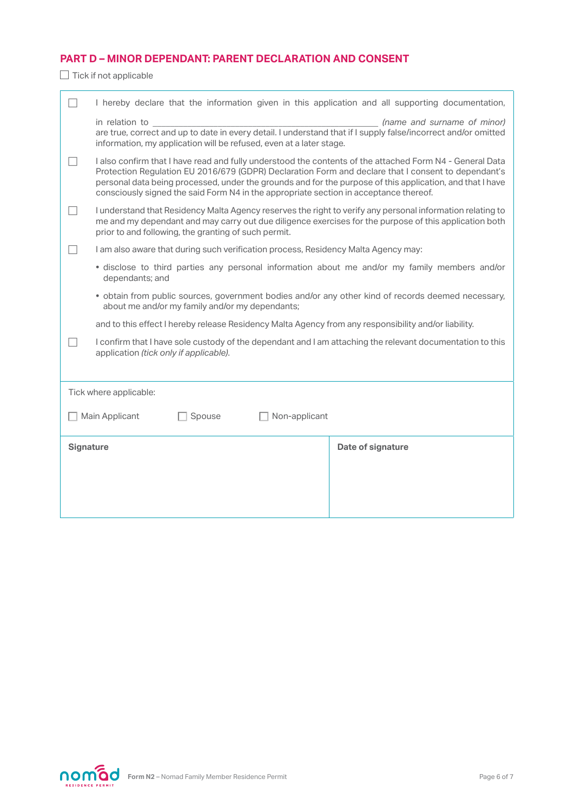## **PART D – MINOR DEPENDANT: PARENT DECLARATION AND CONSENT**

 $\Box$  Tick if not applicable

|                  | I hereby declare that the information given in this application and all supporting documentation,                                                                                                                                                                                                                                                                                                                     |                             |  |  |
|------------------|-----------------------------------------------------------------------------------------------------------------------------------------------------------------------------------------------------------------------------------------------------------------------------------------------------------------------------------------------------------------------------------------------------------------------|-----------------------------|--|--|
|                  | in relation to<br>are true, correct and up to date in every detail. I understand that if I supply false/incorrect and/or omitted<br>information, my application will be refused, even at a later stage.                                                                                                                                                                                                               | (name and surname of minor) |  |  |
|                  | I also confirm that I have read and fully understood the contents of the attached Form N4 - General Data<br>Protection Regulation EU 2016/679 (GDPR) Declaration Form and declare that I consent to dependant's<br>personal data being processed, under the grounds and for the purpose of this application, and that I have<br>consciously signed the said Form N4 in the appropriate section in acceptance thereof. |                             |  |  |
|                  | I understand that Residency Malta Agency reserves the right to verify any personal information relating to<br>me and my dependant and may carry out due diligence exercises for the purpose of this application both<br>prior to and following, the granting of such permit.                                                                                                                                          |                             |  |  |
|                  | I am also aware that during such verification process, Residency Malta Agency may:                                                                                                                                                                                                                                                                                                                                    |                             |  |  |
|                  | • disclose to third parties any personal information about me and/or my family members and/or<br>dependants; and                                                                                                                                                                                                                                                                                                      |                             |  |  |
|                  | . obtain from public sources, government bodies and/or any other kind of records deemed necessary,<br>about me and/or my family and/or my dependants;                                                                                                                                                                                                                                                                 |                             |  |  |
|                  | and to this effect I hereby release Residency Malta Agency from any responsibility and/or liability.                                                                                                                                                                                                                                                                                                                  |                             |  |  |
|                  | I confirm that I have sole custody of the dependant and I am attaching the relevant documentation to this<br>application (tick only if applicable).                                                                                                                                                                                                                                                                   |                             |  |  |
|                  |                                                                                                                                                                                                                                                                                                                                                                                                                       |                             |  |  |
|                  | Tick where applicable:                                                                                                                                                                                                                                                                                                                                                                                                |                             |  |  |
|                  | Main Applicant<br>Spouse<br>Non-applicant                                                                                                                                                                                                                                                                                                                                                                             |                             |  |  |
| <b>Signature</b> |                                                                                                                                                                                                                                                                                                                                                                                                                       | Date of signature           |  |  |
|                  |                                                                                                                                                                                                                                                                                                                                                                                                                       |                             |  |  |
|                  |                                                                                                                                                                                                                                                                                                                                                                                                                       |                             |  |  |
|                  |                                                                                                                                                                                                                                                                                                                                                                                                                       |                             |  |  |